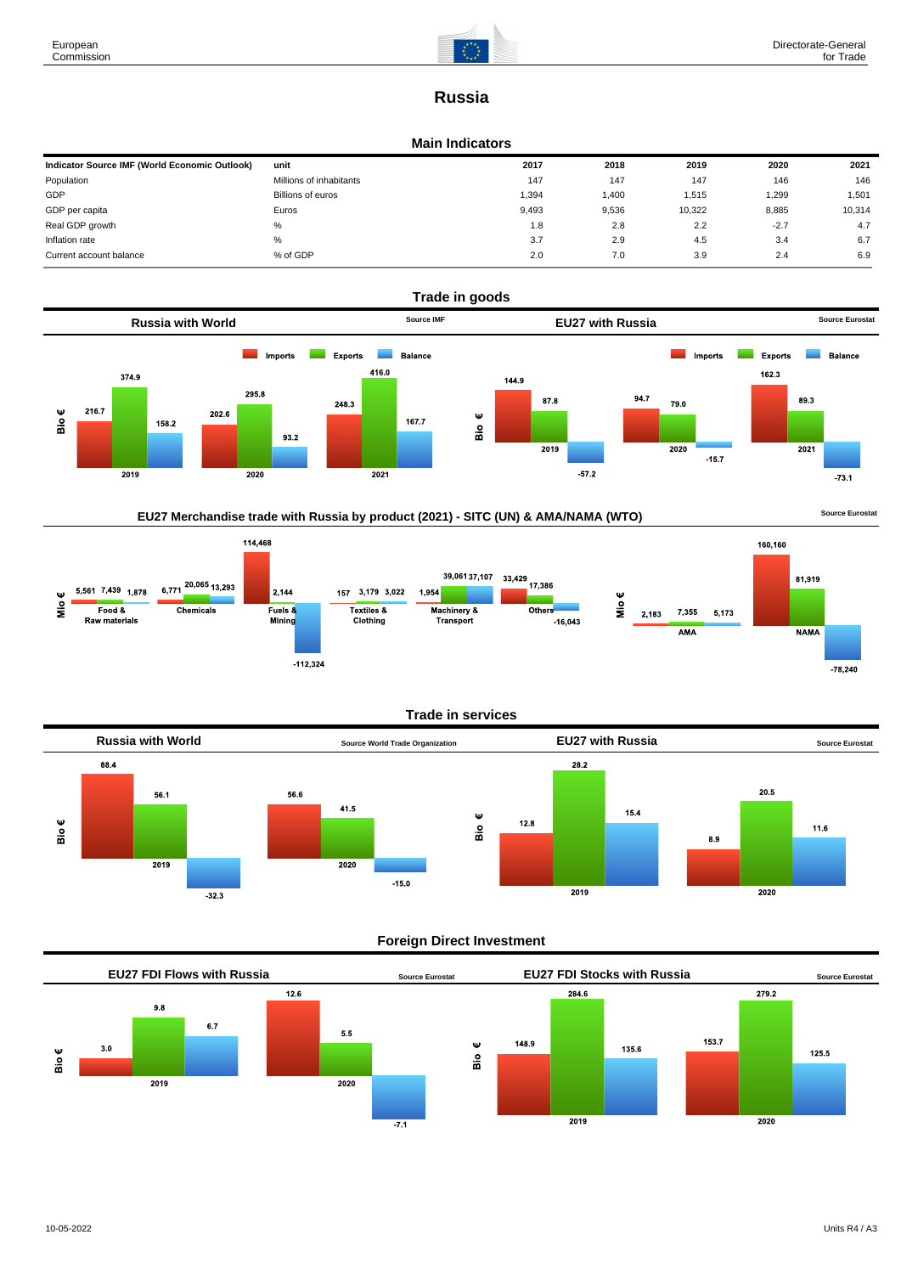

# **Russia**

#### **Main Indicators**

| Indicator Source IMF (World Economic Outlook) | unit                    | 2017  | 2018  | 2019   | 2020   | 2021   |
|-----------------------------------------------|-------------------------|-------|-------|--------|--------|--------|
| Population                                    | Millions of inhabitants | 147   | 147   | 147    | 146    | 146    |
| GDP                                           | Billions of euros       | 1,394 | 1,400 | 1,515  | 1,299  | 1,501  |
| GDP per capita                                | Euros                   | 9.493 | 9,536 | 10,322 | 8,885  | 10,314 |
| Real GDP growth                               | %                       | 1.8   | 2.8   | 2.2    | $-2.7$ | 4.7    |
| Inflation rate                                | %                       | 3.7   | 2.9   | 4.5    | 3.4    | 6.7    |
| Current account balance                       | % of GDP                | 2.0   | 7.0   | 3.9    | 2.4    | 6.9    |



# EU27 Merchandise trade with Russia by product (2021) - SITC (UN) & AMA/NAMA (WTO) **Source Eurostat**



#### **Trade in services**



#### **Foreign Direct Investment**